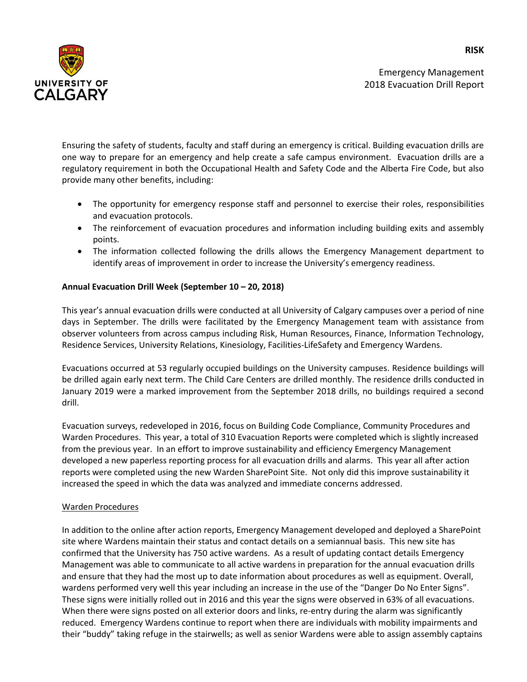Emergency Management 2018 Evacuation Drill Report



Ensuring the safety of students, faculty and staff during an emergency is critical. Building evacuation drills are one way to prepare for an emergency and help create a safe campus environment. Evacuation drills are a regulatory requirement in both the Occupational Health and Safety Code and the Alberta Fire Code, but also provide many other benefits, including:

- The opportunity for emergency response staff and personnel to exercise their roles, responsibilities and evacuation protocols.
- The reinforcement of evacuation procedures and information including building exits and assembly points.
- The information collected following the drills allows the Emergency Management department to identify areas of improvement in order to increase the University's emergency readiness.

## **Annual Evacuation Drill Week (September 10 – 20, 2018)**

This year's annual evacuation drills were conducted at all University of Calgary campuses over a period of nine days in September. The drills were facilitated by the Emergency Management team with assistance from observer volunteers from across campus including Risk, Human Resources, Finance, Information Technology, Residence Services, University Relations, Kinesiology, Facilities-LifeSafety and Emergency Wardens.

Evacuations occurred at 53 regularly occupied buildings on the University campuses. Residence buildings will be drilled again early next term. The Child Care Centers are drilled monthly. The residence drills conducted in January 2019 were a marked improvement from the September 2018 drills, no buildings required a second drill.

Evacuation surveys, redeveloped in 2016, focus on Building Code Compliance, Community Procedures and Warden Procedures. This year, a total of 310 Evacuation Reports were completed which is slightly increased from the previous year. In an effort to improve sustainability and efficiency Emergency Management developed a new paperless reporting process for all evacuation drills and alarms. This year all after action reports were completed using the new Warden SharePoint Site. Not only did this improve sustainability it increased the speed in which the data was analyzed and immediate concerns addressed.

## Warden Procedures

In addition to the online after action reports, Emergency Management developed and deployed a SharePoint site where Wardens maintain their status and contact details on a semiannual basis. This new site has confirmed that the University has 750 active wardens. As a result of updating contact details Emergency Management was able to communicate to all active wardens in preparation for the annual evacuation drills and ensure that they had the most up to date information about procedures as well as equipment. Overall, wardens performed very well this year including an increase in the use of the "Danger Do No Enter Signs". These signs were initially rolled out in 2016 and this year the signs were observed in 63% of all evacuations. When there were signs posted on all exterior doors and links, re-entry during the alarm was significantly reduced. Emergency Wardens continue to report when there are individuals with mobility impairments and their "buddy" taking refuge in the stairwells; as well as senior Wardens were able to assign assembly captains